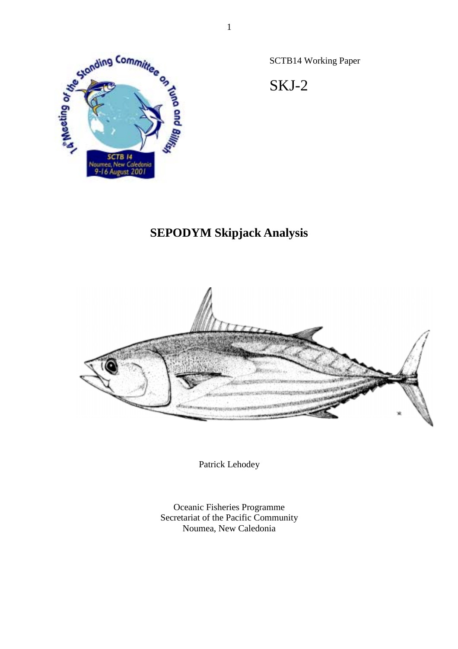

SCTB14 Working Paper

SKJ-2

# **SEPODYM Skipjack Analysis**



Patrick Lehodey

Oceanic Fisheries Programme Secretariat of the Pacific Community Noumea, New Caledonia

1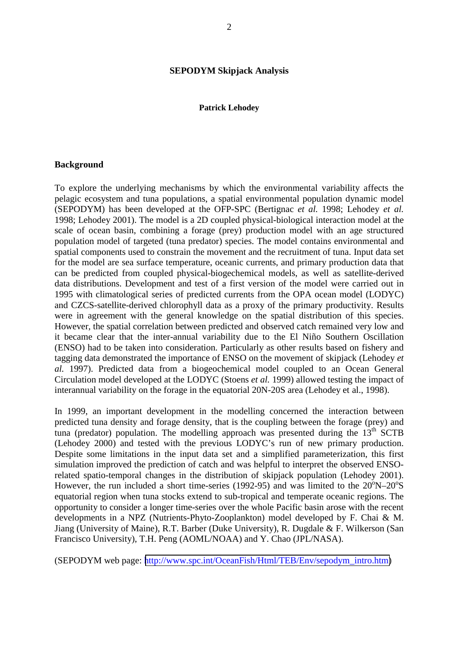#### **SEPODYM Skipjack Analysis**

#### **Patrick Lehodey**

#### **Background**

To explore the underlying mechanisms by which the environmental variability affects the pelagic ecosystem and tuna populations, a spatial environmental population dynamic model (SEPODYM) has been developed at the OFP-SPC (Bertignac *et al.* 1998; Lehodey *et al.* 1998; Lehodey 2001). The model is a 2D coupled physical-biological interaction model at the scale of ocean basin, combining a forage (prey) production model with an age structured population model of targeted (tuna predator) species. The model contains environmental and spatial components used to constrain the movement and the recruitment of tuna. Input data set for the model are sea surface temperature, oceanic currents, and primary production data that can be predicted from coupled physical-biogechemical models, as well as satellite-derived data distributions. Development and test of a first version of the model were carried out in 1995 with climatological series of predicted currents from the OPA ocean model (LODYC) and CZCS-satellite-derived chlorophyll data as a proxy of the primary productivity. Results were in agreement with the general knowledge on the spatial distribution of this species. However, the spatial correlation between predicted and observed catch remained very low and it became clear that the inter-annual variability due to the El Niño Southern Oscillation (ENSO) had to be taken into consideration. Particularly as other results based on fishery and tagging data demonstrated the importance of ENSO on the movement of skipjack (Lehodey *et al.* 1997). Predicted data from a biogeochemical model coupled to an Ocean General Circulation model developed at the LODYC (Stoens *et al.* 1999) allowed testing the impact of interannual variability on the forage in the equatorial 20N-20S area (Lehodey et al., 1998).

In 1999, an important development in the modelling concerned the interaction between predicted tuna density and forage density, that is the coupling between the forage (prey) and tuna (predator) population. The modelling approach was presented during the  $13<sup>th</sup>$  SCTB (Lehodey 2000) and tested with the previous LODYC's run of new primary production. Despite some limitations in the input data set and a simplified parameterization, this first simulation improved the prediction of catch and was helpful to interpret the observed ENSOrelated spatio-temporal changes in the distribution of skipjack population (Lehodey 2001). However, the run included a short time-series (1992-95) and was limited to the  $20^{\circ}$ N- $20^{\circ}$ S equatorial region when tuna stocks extend to sub-tropical and temperate oceanic regions. The opportunity to consider a longer time-series over the whole Pacific basin arose with the recent developments in a NPZ (Nutrients-Phyto-Zooplankton) model developed by F. Chai & M. Jiang (University of Maine), R.T. Barber (Duke University), R. Dugdale & F. Wilkerson (San Francisco University), T.H. Peng (AOML/NOAA) and Y. Chao (JPL/NASA).

(SEPODYM web page: [http://www.spc.int/OceanFish/Html/TEB/Env/sepodym\\_intro.htm\)](http://www.spc.int/OceanFish/Html/TEB/Env/sepodym_intro.htm)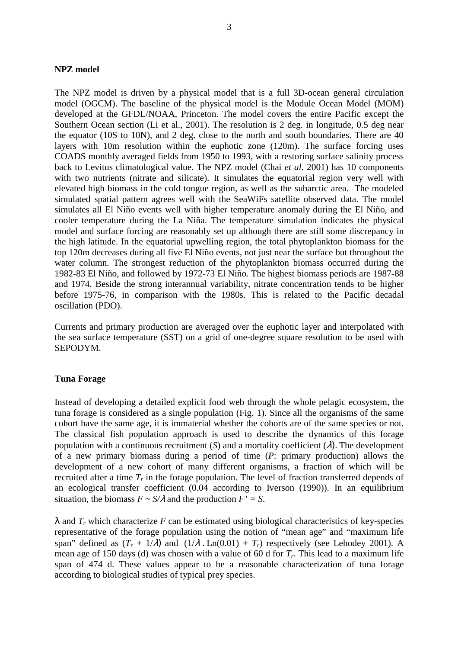#### **NPZ model**

The NPZ model is driven by a physical model that is a full 3D-ocean general circulation model (OGCM). The baseline of the physical model is the Module Ocean Model (MOM) developed at the GFDL/NOAA, Princeton. The model covers the entire Pacific except the Southern Ocean section (Li et al., 2001). The resolution is 2 deg. in longitude, 0.5 deg near the equator (10S to 10N), and 2 deg. close to the north and south boundaries. There are 40 layers with 10m resolution within the euphotic zone (120m). The surface forcing uses COADS monthly averaged fields from 1950 to 1993, with a restoring surface salinity process back to Levitus climatological value. The NPZ model (Chai *et al.* 2001) has 10 components with two nutrients (nitrate and silicate). It simulates the equatorial region very well with elevated high biomass in the cold tongue region, as well as the subarctic area. The modeled simulated spatial pattern agrees well with the SeaWiFs satellite observed data. The model simulates all El Niño events well with higher temperature anomaly during the El Niño, and cooler temperature during the La Niña. The temperature simulation indicates the physical model and surface forcing are reasonably set up although there are still some discrepancy in the high latitude. In the equatorial upwelling region, the total phytoplankton biomass for the top 120m decreases during all five El Niño events, not just near the surface but throughout the water column. The strongest reduction of the phytoplankton biomass occurred during the 1982-83 El Niño, and followed by 1972-73 El Niño. The highest biomass periods are 1987-88 and 1974. Beside the strong interannual variability, nitrate concentration tends to be higher before 1975-76, in comparison with the 1980s. This is related to the Pacific decadal oscillation (PDO).

Currents and primary production are averaged over the euphotic layer and interpolated with the sea surface temperature (SST) on a grid of one-degree square resolution to be used with SEPODYM.

#### **Tuna Forage**

Instead of developing a detailed explicit food web through the whole pelagic ecosystem, the tuna forage is considered as a single population (Fig. 1). Since all the organisms of the same cohort have the same age, it is immaterial whether the cohorts are of the same species or not. The classical fish population approach is used to describe the dynamics of this forage population with a continuous recruitment  $(S)$  and a mortality coefficient  $(\lambda)$ . The development of a new primary biomass during a period of time (*P*: primary production) allows the development of a new cohort of many different organisms, a fraction of which will be recruited after a time *Tr* in the forage population. The level of fraction transferred depends of an ecological transfer coefficient (0.04 according to Iverson (1990)). In an equilibrium situation, the biomass  $F \sim S/\lambda$  and the production  $F' = S$ .

 $\lambda$  and  $T_r$  which characterize F can be estimated using biological characteristics of key-species representative of the forage population using the notion of "mean age" and "maximum life span" defined as  $(T_r + 1/\lambda)$  and  $(1/\lambda \cdot \text{Ln}(0.01) + T_r)$  respectively (see Lehodey 2001). A mean age of 150 days (d) was chosen with a value of 60 d for *Tr*. This lead to a maximum life span of 474 d. These values appear to be a reasonable characterization of tuna forage according to biological studies of typical prey species.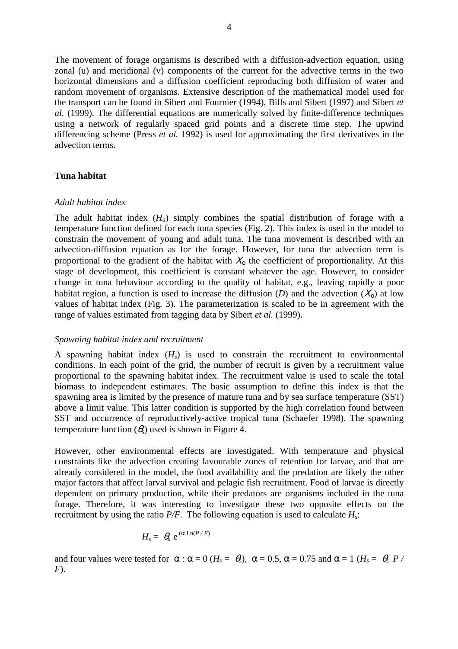The movement of forage organisms is described with a diffusion-advection equation, using zonal (u) and meridional (v) components of the current for the advective terms in the two horizontal dimensions and a diffusion coefficient reproducing both diffusion of water and random movement of organisms. Extensive description of the mathematical model used for the transport can be found in Sibert and Fournier (1994), Bills and Sibert (1997) and Sibert *et al.* (1999). The differential equations are numerically solved by finite-difference techniques using a network of regularly spaced grid points and a discrete time step. The upwind differencing scheme (Press *et al.* 1992) is used for approximating the first derivatives in the advection terms.

### **Tuna habitat**

#### *Adult habitat index*

The adult habitat index  $(H_a)$  simply combines the spatial distribution of forage with a temperature function defined for each tuna species (Fig. 2). This index is used in the model to constrain the movement of young and adult tuna. The tuna movement is described with an advection-diffusion equation as for the forage. However, for tuna the advection term is proportional to the gradient of the habitat with  $X_0$  the coefficient of proportionality. At this stage of development, this coefficient is constant whatever the age. However, to consider change in tuna behaviour according to the quality of habitat, e.g., leaving rapidly a poor habitat region, a function is used to increase the diffusion (*D*) and the advection  $(X_0)$  at low values of habitat index (Fig. 3). The parameterization is scaled to be in agreement with the range of values estimated from tagging data by Sibert *et al.* (1999).

#### *Spawning habitat index and recruitment*

A spawning habitat index  $(H<sub>s</sub>)$  is used to constrain the recruitment to environmental conditions. In each point of the grid, the number of recruit is given by a recruitment value proportional to the spawning habitat index. The recruitment value is used to scale the total biomass to independent estimates. The basic assumption to define this index is that the spawning area is limited by the presence of mature tuna and by sea surface temperature (SST) above a limit value. This latter condition is supported by the high correlation found between SST and occurrence of reproductively-active tropical tuna (Schaefer 1998). The spawning temperature function  $(\theta_s)$  used is shown in Figure 4.

However, other environmental effects are investigated. With temperature and physical constraints like the advection creating favourable zones of retention for larvae, and that are already considered in the model, the food availability and the predation are likely the other major factors that affect larval survival and pelagic fish recruitment. Food of larvae is directly dependent on primary production, while their predators are organisms included in the tuna forage. Therefore, it was interesting to investigate these two opposite effects on the recruitment by using the ratio  $P/F$ . The following equation is used to calculate  $H_s$ :

$$
H_s = \theta_s e^{(\alpha \operatorname{Ln}(P/F))}
$$

and four values were tested for  $\alpha$ :  $\alpha = 0$  ( $H_s = \theta_s$ ),  $\alpha = 0.5$ ,  $\alpha = 0.75$  and  $\alpha = 1$  ( $H_s = \theta_s P$  / *F*).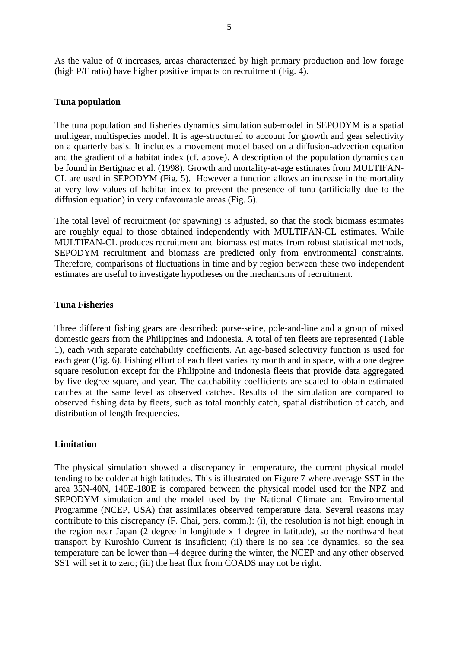As the value of  $\alpha$  increases, areas characterized by high primary production and low forage (high P/F ratio) have higher positive impacts on recruitment (Fig. 4).

#### **Tuna population**

The tuna population and fisheries dynamics simulation sub-model in SEPODYM is a spatial multigear, multispecies model. It is age-structured to account for growth and gear selectivity on a quarterly basis. It includes a movement model based on a diffusion-advection equation and the gradient of a habitat index (cf. above). A description of the population dynamics can be found in Bertignac et al. (1998). Growth and mortality-at-age estimates from MULTIFAN-CL are used in SEPODYM (Fig. 5). However a function allows an increase in the mortality at very low values of habitat index to prevent the presence of tuna (artificially due to the diffusion equation) in very unfavourable areas (Fig. 5).

The total level of recruitment (or spawning) is adjusted, so that the stock biomass estimates are roughly equal to those obtained independently with MULTIFAN-CL estimates. While MULTIFAN-CL produces recruitment and biomass estimates from robust statistical methods, SEPODYM recruitment and biomass are predicted only from environmental constraints. Therefore, comparisons of fluctuations in time and by region between these two independent estimates are useful to investigate hypotheses on the mechanisms of recruitment.

#### **Tuna Fisheries**

Three different fishing gears are described: purse-seine, pole-and-line and a group of mixed domestic gears from the Philippines and Indonesia. A total of ten fleets are represented (Table 1), each with separate catchability coefficients. An age-based selectivity function is used for each gear (Fig. 6). Fishing effort of each fleet varies by month and in space, with a one degree square resolution except for the Philippine and Indonesia fleets that provide data aggregated by five degree square, and year. The catchability coefficients are scaled to obtain estimated catches at the same level as observed catches. Results of the simulation are compared to observed fishing data by fleets, such as total monthly catch, spatial distribution of catch, and distribution of length frequencies.

#### **Limitation**

The physical simulation showed a discrepancy in temperature, the current physical model tending to be colder at high latitudes. This is illustrated on Figure 7 where average SST in the area 35N-40N, 140E-180E is compared between the physical model used for the NPZ and SEPODYM simulation and the model used by the National Climate and Environmental Programme (NCEP, USA) that assimilates observed temperature data. Several reasons may contribute to this discrepancy (F. Chai, pers. comm.): (i), the resolution is not high enough in the region near Japan (2 degree in longitude x 1 degree in latitude), so the northward heat transport by Kuroshio Current is insuficient; (ii) there is no sea ice dynamics, so the sea temperature can be lower than –4 degree during the winter, the NCEP and any other observed SST will set it to zero; (iii) the heat flux from COADS may not be right.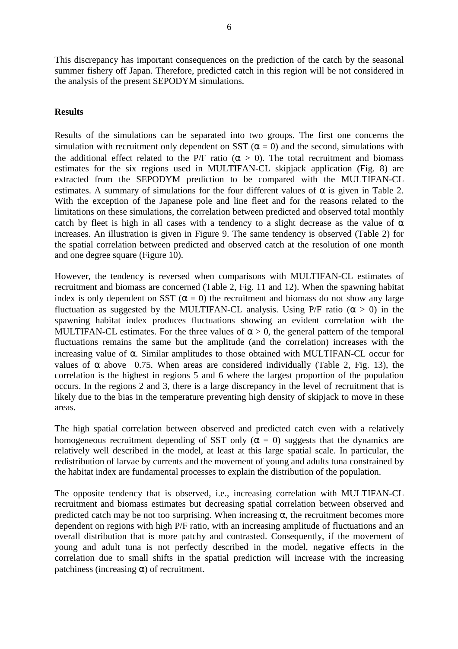This discrepancy has important consequences on the prediction of the catch by the seasonal summer fishery off Japan. Therefore, predicted catch in this region will be not considered in the analysis of the present SEPODYM simulations.

# **Results**

Results of the simulations can be separated into two groups. The first one concerns the simulation with recruitment only dependent on SST ( $\alpha = 0$ ) and the second, simulations with the additional effect related to the P/F ratio ( $\alpha > 0$ ). The total recruitment and biomass estimates for the six regions used in MULTIFAN-CL skipjack application (Fig. 8) are extracted from the SEPODYM prediction to be compared with the MULTIFAN-CL estimates. A summary of simulations for the four different values of  $\alpha$  is given in Table 2. With the exception of the Japanese pole and line fleet and for the reasons related to the limitations on these simulations, the correlation between predicted and observed total monthly catch by fleet is high in all cases with a tendency to a slight decrease as the value of  $\alpha$ increases. An illustration is given in Figure 9. The same tendency is observed (Table 2) for the spatial correlation between predicted and observed catch at the resolution of one month and one degree square (Figure 10).

However, the tendency is reversed when comparisons with MULTIFAN-CL estimates of recruitment and biomass are concerned (Table 2, Fig. 11 and 12). When the spawning habitat index is only dependent on SST ( $\alpha = 0$ ) the recruitment and biomass do not show any large fluctuation as suggested by the MULTIFAN-CL analysis. Using P/F ratio ( $\alpha > 0$ ) in the spawning habitat index produces fluctuations showing an evident correlation with the MULTIFAN-CL estimates. For the three values of  $\alpha > 0$ , the general pattern of the temporal fluctuations remains the same but the amplitude (and the correlation) increases with the increasing value of α. Similar amplitudes to those obtained with MULTIFAN-CL occur for values of  $\alpha$  above 0.75. When areas are considered individually (Table 2, Fig. 13), the correlation is the highest in regions 5 and 6 where the largest proportion of the population occurs. In the regions 2 and 3, there is a large discrepancy in the level of recruitment that is likely due to the bias in the temperature preventing high density of skipjack to move in these areas.

The high spatial correlation between observed and predicted catch even with a relatively homogeneous recruitment depending of SST only ( $\alpha = 0$ ) suggests that the dynamics are relatively well described in the model, at least at this large spatial scale. In particular, the redistribution of larvae by currents and the movement of young and adults tuna constrained by the habitat index are fundamental processes to explain the distribution of the population.

The opposite tendency that is observed, i.e., increasing correlation with MULTIFAN-CL recruitment and biomass estimates but decreasing spatial correlation between observed and predicted catch may be not too surprising. When increasing  $\alpha$ , the recruitment becomes more dependent on regions with high P/F ratio, with an increasing amplitude of fluctuations and an overall distribution that is more patchy and contrasted. Consequently, if the movement of young and adult tuna is not perfectly described in the model, negative effects in the correlation due to small shifts in the spatial prediction will increase with the increasing patchiness (increasing  $\alpha$ ) of recruitment.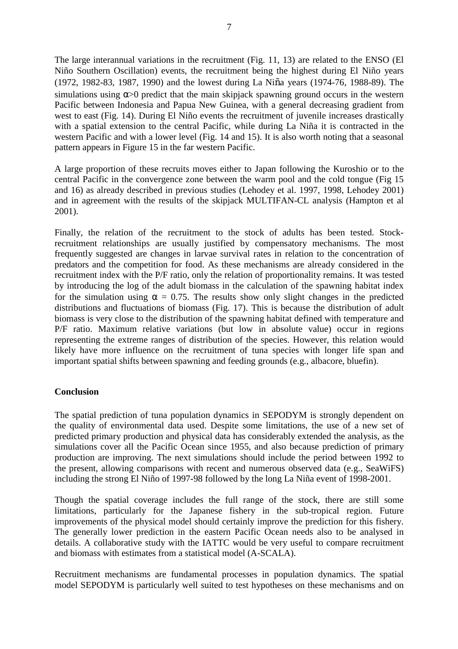The large interannual variations in the recruitment (Fig. 11, 13) are related to the ENSO (El Niño Southern Oscillation) events, the recruitment being the highest during El Niño years (1972, 1982-83, 1987, 1990) and the lowest during La Niña years (1974-76, 1988-89). The simulations using  $\alpha$  predict that the main skipjack spawning ground occurs in the western Pacific between Indonesia and Papua New Guinea, with a general decreasing gradient from west to east (Fig. 14). During El Niño events the recruitment of juvenile increases drastically with a spatial extension to the central Pacific, while during La Niña it is contracted in the western Pacific and with a lower level (Fig. 14 and 15). It is also worth noting that a seasonal pattern appears in Figure 15 in the far western Pacific.

A large proportion of these recruits moves either to Japan following the Kuroshio or to the central Pacific in the convergence zone between the warm pool and the cold tongue (Fig 15 and 16) as already described in previous studies (Lehodey et al. 1997, 1998, Lehodey 2001) and in agreement with the results of the skipjack MULTIFAN-CL analysis (Hampton et al 2001).

Finally, the relation of the recruitment to the stock of adults has been tested. Stockrecruitment relationships are usually justified by compensatory mechanisms. The most frequently suggested are changes in larvae survival rates in relation to the concentration of predators and the competition for food. As these mechanisms are already considered in the recruitment index with the P/F ratio, only the relation of proportionality remains. It was tested by introducing the log of the adult biomass in the calculation of the spawning habitat index for the simulation using  $\alpha = 0.75$ . The results show only slight changes in the predicted distributions and fluctuations of biomass (Fig. 17). This is because the distribution of adult biomass is very close to the distribution of the spawning habitat defined with temperature and P/F ratio. Maximum relative variations (but low in absolute value) occur in regions representing the extreme ranges of distribution of the species. However, this relation would likely have more influence on the recruitment of tuna species with longer life span and important spatial shifts between spawning and feeding grounds (e.g., albacore, bluefin).

## **Conclusion**

The spatial prediction of tuna population dynamics in SEPODYM is strongly dependent on the quality of environmental data used. Despite some limitations, the use of a new set of predicted primary production and physical data has considerably extended the analysis, as the simulations cover all the Pacific Ocean since 1955, and also because prediction of primary production are improving. The next simulations should include the period between 1992 to the present, allowing comparisons with recent and numerous observed data (e.g., SeaWiFS) including the strong El Niño of 1997-98 followed by the long La Niña event of 1998-2001.

Though the spatial coverage includes the full range of the stock, there are still some limitations, particularly for the Japanese fishery in the sub-tropical region. Future improvements of the physical model should certainly improve the prediction for this fishery. The generally lower prediction in the eastern Pacific Ocean needs also to be analysed in details. A collaborative study with the IATTC would be very useful to compare recruitment and biomass with estimates from a statistical model (A-SCALA).

Recruitment mechanisms are fundamental processes in population dynamics. The spatial model SEPODYM is particularly well suited to test hypotheses on these mechanisms and on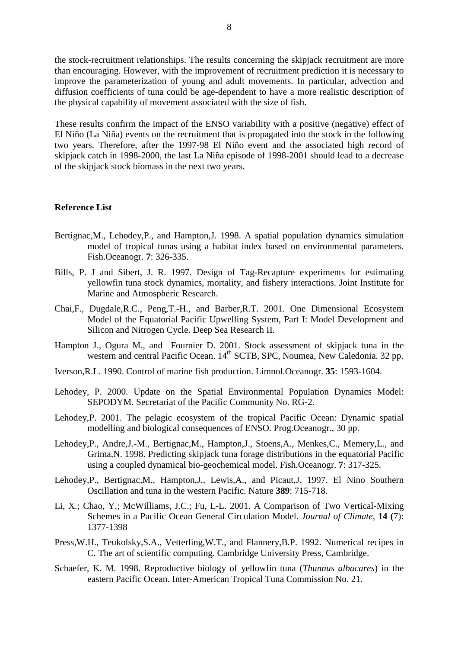the stock-recruitment relationships. The results concerning the skipjack recruitment are more than encouraging. However, with the improvement of recruitment prediction it is necessary to improve the parameterization of young and adult movements. In particular, advection and diffusion coefficients of tuna could be age-dependent to have a more realistic description of the physical capability of movement associated with the size of fish.

These results confirm the impact of the ENSO variability with a positive (negative) effect of El Niño (La Niña) events on the recruitment that is propagated into the stock in the following two years. Therefore, after the 1997-98 El Niño event and the associated high record of skipjack catch in 1998-2000, the last La Niña episode of 1998-2001 should lead to a decrease of the skipjack stock biomass in the next two years.

#### **Reference List**

- Bertignac,M., Lehodey,P., and Hampton,J. 1998. A spatial population dynamics simulation model of tropical tunas using a habitat index based on environmental parameters. Fish.Oceanogr. **7**: 326-335.
- Bills, P. J and Sibert, J. R. 1997. Design of Tag-Recapture experiments for estimating yellowfin tuna stock dynamics, mortality, and fishery interactions. Joint Institute for Marine and Atmospheric Research.
- Chai,F., Dugdale,R.C., Peng,T.-H., and Barber,R.T. 2001. One Dimensional Ecosystem Model of the Equatorial Pacific Upwelling System, Part I: Model Development and Silicon and Nitrogen Cycle. Deep Sea Research II.
- Hampton J., Ogura M., and Fournier D. 2001. Stock assessment of skipjack tuna in the western and central Pacific Ocean. 14<sup>th</sup> SCTB, SPC, Noumea, New Caledonia. 32 pp.
- Iverson,R.L. 1990. Control of marine fish production. Limnol.Oceanogr. **35**: 1593-1604.
- Lehodey, P. 2000. Update on the Spatial Environmental Population Dynamics Model: SEPODYM. Secretariat of the Pacific Community No. RG-2.
- Lehodey,P. 2001. The pelagic ecosystem of the tropical Pacific Ocean: Dynamic spatial modelling and biological consequences of ENSO. Prog.Oceanogr., 30 pp.
- Lehodey,P., Andre,J.-M., Bertignac,M., Hampton,J., Stoens,A., Menkes,C., Memery,L., and Grima,N. 1998. Predicting skipjack tuna forage distributions in the equatorial Pacific using a coupled dynamical bio-geochemical model. Fish.Oceanogr. **7**: 317-325.
- Lehodey,P., Bertignac,M., Hampton,J., Lewis,A., and Picaut,J. 1997. El Nino Southern Oscillation and tuna in the western Pacific. Nature **389**: 715-718.
- Li, X.; Chao, Y.; McWilliams, J.C.; Fu, L-L. 2001. A Comparison of Two Vertical-Mixing Schemes in a Pacific Ocean General Circulation Model. *Journal of Climate*, **14 (**7): 1377-1398
- Press,W.H., Teukolsky,S.A., Vetterling,W.T., and Flannery,B.P. 1992. Numerical recipes in C. The art of scientific computing. Cambridge University Press, Cambridge.
- Schaefer, K. M. 1998. Reproductive biology of yellowfin tuna (*Thunnus albacares*) in the eastern Pacific Ocean. Inter-American Tropical Tuna Commission No. 21.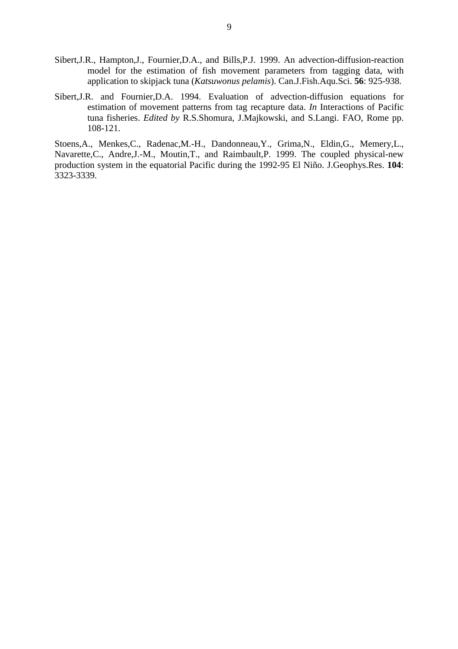- Sibert,J.R., Hampton,J., Fournier,D.A., and Bills,P.J. 1999. An advection-diffusion-reaction model for the estimation of fish movement parameters from tagging data, with application to skipjack tuna (*Katsuwonus pelamis*). Can.J.Fish.Aqu.Sci. **56**: 925-938.
- Sibert,J.R. and Fournier,D.A. 1994. Evaluation of advection-diffusion equations for estimation of movement patterns from tag recapture data. *In* Interactions of Pacific tuna fisheries. *Edited by* R.S.Shomura, J.Majkowski, and S.Langi. FAO, Rome pp. 108-121.

Stoens,A., Menkes,C., Radenac,M.-H., Dandonneau,Y., Grima,N., Eldin,G., Memery,L., Navarette,C., Andre,J.-M., Moutin,T., and Raimbault,P. 1999. The coupled physical-new production system in the equatorial Pacific during the 1992-95 El Niño. J.Geophys.Res. **104**: 3323-3339.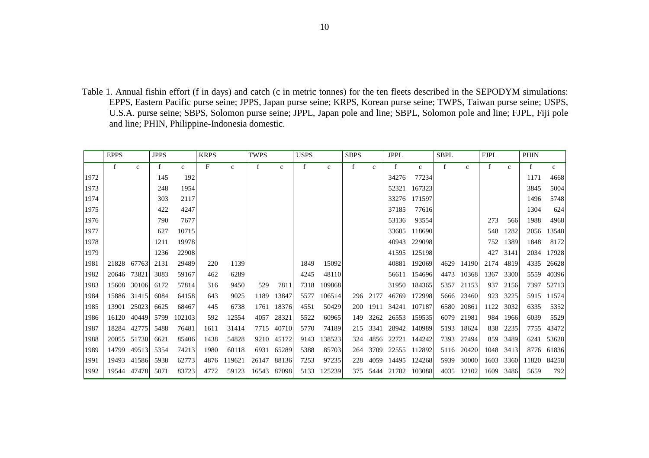Table 1. Annual fishin effort (f in days) and catch (c in metric tonnes) for the ten fleets described in the SEPODYM simulations: EPPS, Eastern Pacific purse seine; JPPS, Japan purse seine; KRPS, Korean purse seine; TWPS, Taiwan purse seine; USPS, U.S.A. purse seine; SBPS, Solomon purse seine; JPPL, Japan pole and line; SBPL, Solomon pole and line; FJPL, Fiji pole and line; PHIN, Philippine-Indonesia domestic.

|      | <b>EPPS</b> |              | <b>JPPS</b> |              | <b>KRPS</b> |              | TWPS  |              | <b>USPS</b> |              | <b>SBPS</b> |              | <b>JPPL</b> |             | <b>SBPL</b> |              | <b>FJPL</b>  |              | <b>PHIN</b> |              |
|------|-------------|--------------|-------------|--------------|-------------|--------------|-------|--------------|-------------|--------------|-------------|--------------|-------------|-------------|-------------|--------------|--------------|--------------|-------------|--------------|
|      | f           | $\mathbf{c}$ | $\mathbf f$ | $\mathbf{C}$ | F           | $\mathbf{C}$ | f     | $\mathbf{c}$ | f           | $\mathbf{C}$ | f           | $\mathbf{C}$ | $\mathbf f$ | $\mathbf c$ | f           | $\mathbf{c}$ | $\mathbf{f}$ | $\mathbf{C}$ | f           | $\mathbf{c}$ |
| 1972 |             |              | 145         | 192          |             |              |       |              |             |              |             |              | 34276       | 77234       |             |              |              |              | 1171        | 4668         |
| 1973 |             |              | 248         | 1954         |             |              |       |              |             |              |             |              | 52321       | 167323      |             |              |              |              | 3845        | 5004         |
| 1974 |             |              | 303         | 2117         |             |              |       |              |             |              |             |              | 33276       | 171597      |             |              |              |              | 1496        | 5748         |
| 1975 |             |              | 422         | 4247         |             |              |       |              |             |              |             |              | 37185       | 77616       |             |              |              |              | 1304        | 624          |
| 1976 |             |              | 790         | 7677         |             |              |       |              |             |              |             |              | 53136       | 93554       |             |              | 273          | 566          | 1988        | 4968         |
| 1977 |             |              | 627         | 10715        |             |              |       |              |             |              |             |              | 33605       | 118690      |             |              | 548          | 1282         | 2056        | 13548        |
| 1978 |             |              | 1211        | 19978        |             |              |       |              |             |              |             |              | 40943       | 229098      |             |              | 752          | 1389         | 1848        | 8172         |
| 1979 |             |              | 1236        | 22908        |             |              |       |              |             |              |             |              | 41595       | 125198      |             |              | 427          | 3141         | 2034        | 17928        |
| 1981 | 21828       | 67763        | 2131        | 29489        | 220         | 1139         |       |              | 1849        | 15092        |             |              | 40881       | 192069      | 4629        | 14190        | 2174         | 4819         | 4335        | 26628        |
| 1982 | 20646       | 73821        | 3083        | 59167        | 462         | 6289         |       |              | 4245        | 48110        |             |              | 56611       | 154696      | 4473        | 10368        | 1367         | 3300         | 5559        | 40396        |
| 1983 |             | 15608 30106  | 6172        | 57814        | 316         | 9450         | 529   | 7811         | 7318        | 109868       |             |              | 31950       | 184365      | 5357        | 21153        | 937          | 2156         | 7397        | 52713        |
| 1984 |             | 15886 31415  | 6084        | 64158        | 643         | 9025         | 1189  | 13847        | 5577        | 106514       | 296         | 2177         | 46769       | 172998      | 5666        | 23460        | 923          | 3225         | 5915        | 11574        |
| 1985 | 13901       | 25023        | 6625        | 68467        | 445         | 6738         | 1761  | 18376        | 4551        | 50429        | <b>200</b>  | 1911         | 34241       | 107187      | 6580        | 20861        | 1122         | 3032         | 6335        | 5352         |
| 1986 | 16120       | 40449        | 5799        | 102103       | 592         | 12554        | 4057  | 28321        | 5522        | 60965        | 149         | 3262         | 26553       | 159535      | 6079        | 21981        |              | 984 1966     | 6039        | 5529         |
| 1987 | 18284       | 42775        | 5488        | 76481        | 1611        | 31414        |       | 7715 40710   | 5770        | 74189        | 215         | 3341         | 28942       | 140989      | 5193        | 18624        | 838          | 2235         | 7755        | 43472        |
| 1988 |             | 20055 51730  | 6621        | 85406        | 1438        | 54828        |       | 9210 45172   | 9143        | 138523       | 324         | 4856         | 22721       | 144242      | 7393        | 27494        |              | 859 3489     | 6241        | 53628        |
| 1989 | 14799       | 49513        | 5354        | 74213        | 1980        | 60118        | 6931  | 65289        | 5388        | 85703        | 264         | 3709         | 22555       | 112892      | 5116        | 20420        | 1048         | 3413         | 8776        | 61836        |
| 1991 | 19493       | 41586        | 5938        | 62773        | 4876        | 119621       | 26147 | 88136        | 7253        | 97235        | 228         | 4059         | 14495       | 124268      | 5939        | 30000        | 1603         | 3360         | 11820       | 84258        |
| 1992 | 19544       | 47478        | 5071        | 83723        | 4772        | 59123        | 16543 | 87098        | 5133        | 125239       | 375         | 5444         | 21782       | 103088      | 4035        | 12102        | 1609         | 3486         | 5659        | 792          |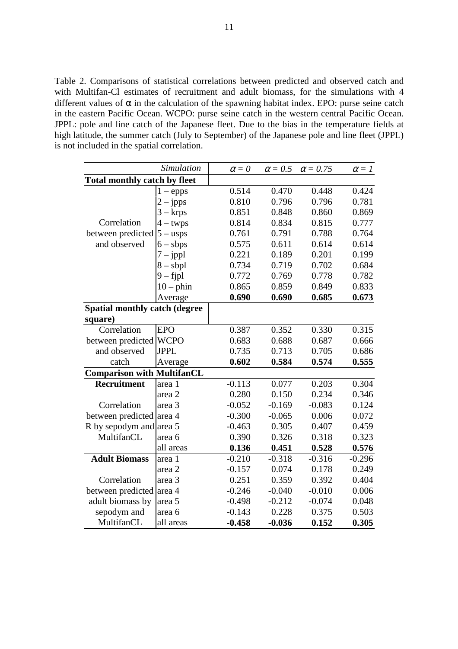Table 2. Comparisons of statistical correlations between predicted and observed catch and with Multifan-Cl estimates of recruitment and adult biomass, for the simulations with 4 different values of  $\alpha$  in the calculation of the spawning habitat index. EPO: purse seine catch in the eastern Pacific Ocean. WCPO: purse seine catch in the western central Pacific Ocean. JPPL: pole and line catch of the Japanese fleet. Due to the bias in the temperature fields at high latitude, the summer catch (July to September) of the Japanese pole and line fleet (JPPL) is not included in the spatial correlation.

|                                      | Simulation  | $\alpha = 0$ | $\alpha$ = 0.5 | $\alpha$ = 0.75 | $\alpha = 1$ |
|--------------------------------------|-------------|--------------|----------------|-----------------|--------------|
| <b>Total monthly catch by fleet</b>  |             |              |                |                 |              |
|                                      | $1 -$ epps  | 0.514        | 0.470          | 0.448           | 0.424        |
|                                      | $2 - jpps$  | 0.810        | 0.796          | 0.796           | 0.781        |
|                                      | 3 – krps    | 0.851        | 0.848          | 0.860           | 0.869        |
| Correlation                          | $4 - twps$  | 0.814        | 0.834          | 0.815           | 0.777        |
| between predicted                    | $5 - usps$  | 0.761        | 0.791          | 0.788           | 0.764        |
| and observed                         | $6 - sbps$  | 0.575        | 0.611          | 0.614           | 0.614        |
|                                      | $7 - jppl$  | 0.221        | 0.189          | 0.201           | 0.199        |
|                                      | $8 - sbpl$  | 0.734        | 0.719          | 0.702           | 0.684        |
|                                      | $9 - f$ jpl | 0.772        | 0.769          | 0.778           | 0.782        |
|                                      | $10$ – phin | 0.865        | 0.859          | 0.849           | 0.833        |
|                                      | Average     | 0.690        | 0.690          | 0.685           | 0.673        |
| <b>Spatial monthly catch (degree</b> |             |              |                |                 |              |
| square)                              |             |              |                |                 |              |
| Correlation                          | <b>EPO</b>  | 0.387        | 0.352          | 0.330           | 0.315        |
| between predicted                    | <b>WCPO</b> | 0.683        | 0.688          | 0.687           | 0.666        |
| and observed                         | <b>JPPL</b> | 0.735        | 0.713          | 0.705           | 0.686        |
| catch                                | Average     | 0.602        | 0.584          | 0.574           | 0.555        |
| <b>Comparison with MultifanCL</b>    |             |              |                |                 |              |
| Recruitment                          | area 1      | $-0.113$     | 0.077          | 0.203           | 0.304        |
|                                      | area 2      | 0.280        | 0.150          | 0.234           | 0.346        |
| Correlation                          | area 3      | $-0.052$     | $-0.169$       | $-0.083$        | 0.124        |
| between predicted area 4             |             | $-0.300$     | $-0.065$       | 0.006           | 0.072        |
| R by sepodym and area 5              |             | $-0.463$     | 0.305          | 0.407           | 0.459        |
| MultifanCL                           | area 6      | 0.390        | 0.326          | 0.318           | 0.323        |
|                                      | all areas   | 0.136        | 0.451          | 0.528           | 0.576        |
| <b>Adult Biomass</b>                 | area 1      | $-0.210$     | $-0.318$       | $-0.316$        | $-0.296$     |
|                                      | area 2      | $-0.157$     | 0.074          | 0.178           | 0.249        |
| Correlation                          | area 3      | 0.251        | 0.359          | 0.392           | 0.404        |
| between predicted area 4             |             | $-0.246$     | $-0.040$       | $-0.010$        | 0.006        |
| adult biomass by                     | area 5      | $-0.498$     | $-0.212$       | $-0.074$        | 0.048        |
| sepodym and                          | area 6      | $-0.143$     | 0.228          | 0.375           | 0.503        |
| MultifanCL                           | all areas   | $-0.458$     | $-0.036$       | 0.152           | 0.305        |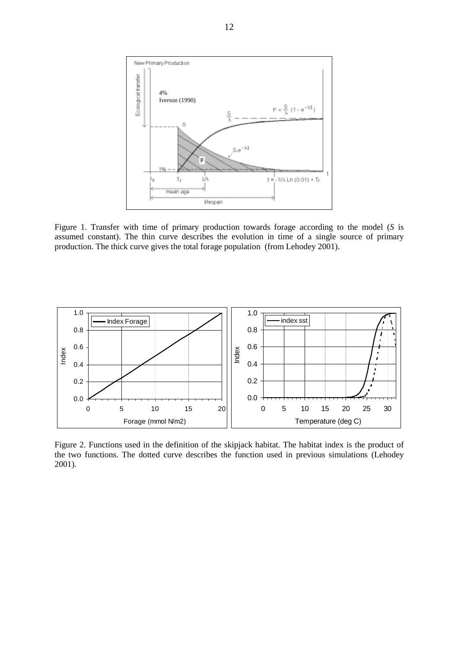

Figure 1. Transfer with time of primary production towards forage according to the model (*S* is assumed constant). The thin curve describes the evolution in time of a single source of primary production. The thick curve gives the total forage population (from Lehodey 2001).



Figure 2. Functions used in the definition of the skipjack habitat. The habitat index is the product of the two functions. The dotted curve describes the function used in previous simulations (Lehodey 2001).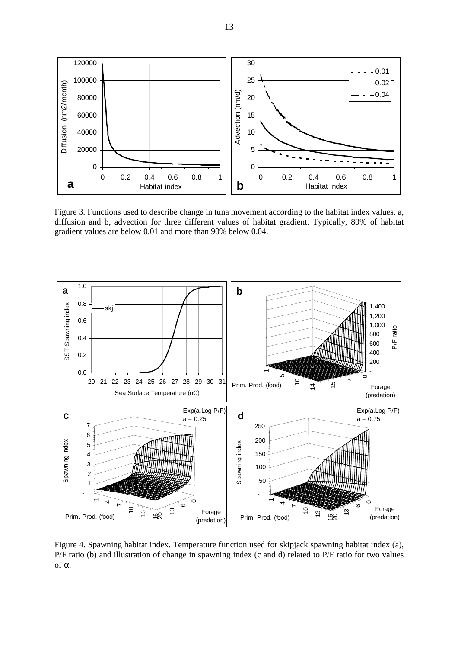

Figure 3. Functions used to describe change in tuna movement according to the habitat index values. a, diffusion and b, advection for three different values of habitat gradient. Typically, 80% of habitat gradient values are below 0.01 and more than 90% below 0.04.



Figure 4. Spawning habitat index. Temperature function used for skipjack spawning habitat index (a), P/F ratio (b) and illustration of change in spawning index (c and d) related to P/F ratio for two values of α.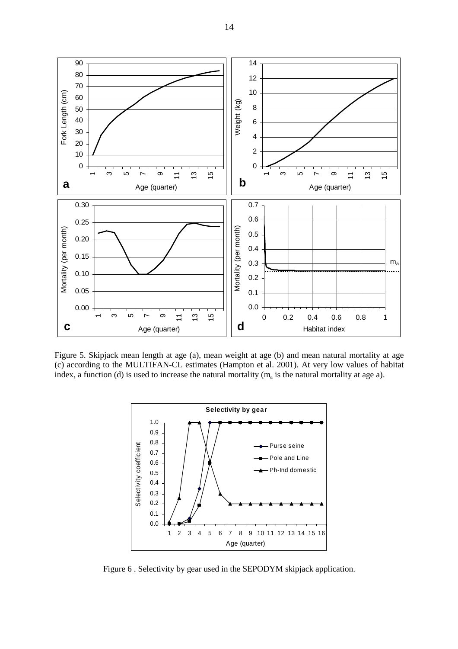

Figure 5. Skipjack mean length at age (a), mean weight at age (b) and mean natural mortality at age (c) according to the MULTIFAN-CL estimates (Hampton et al. 2001). At very low values of habitat index, a function (d) is used to increase the natural mortality ( $m_a$  is the natural mortality at age a).



Figure 6 . Selectivity by gear used in the SEPODYM skipjack application.

14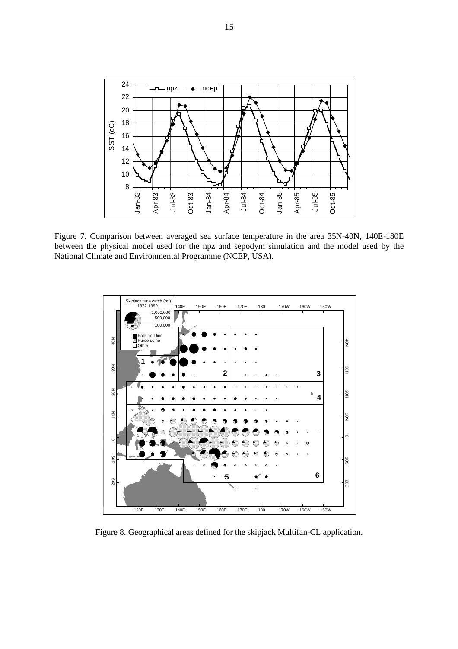

Figure 7. Comparison between averaged sea surface temperature in the area 35N-40N, 140E-180E between the physical model used for the npz and sepodym simulation and the model used by the National Climate and Environmental Programme (NCEP, USA).



Figure 8. Geographical areas defined for the skipjack Multifan-CL application.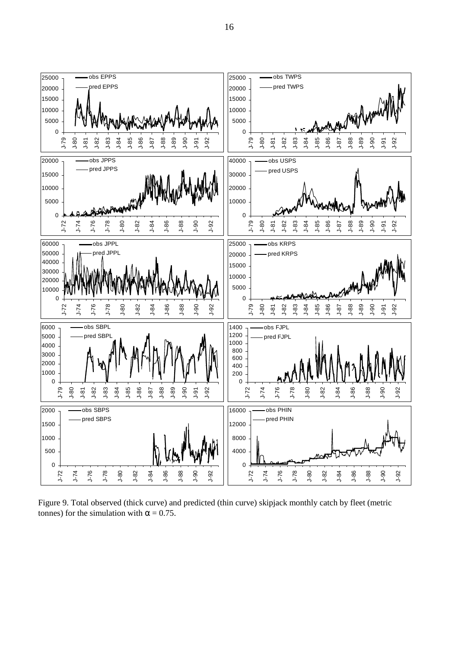

Figure 9. Total observed (thick curve) and predicted (thin curve) skipjack monthly catch by fleet (metric tonnes) for the simulation with  $\alpha = 0.75$ .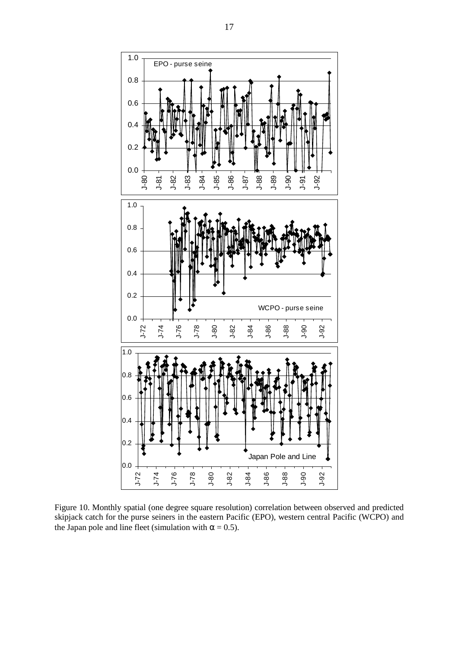

Figure 10. Monthly spatial (one degree square resolution) correlation between observed and predicted skipjack catch for the purse seiners in the eastern Pacific (EPO), western central Pacific (WCPO) and the Japan pole and line fleet (simulation with  $\alpha = 0.5$ ).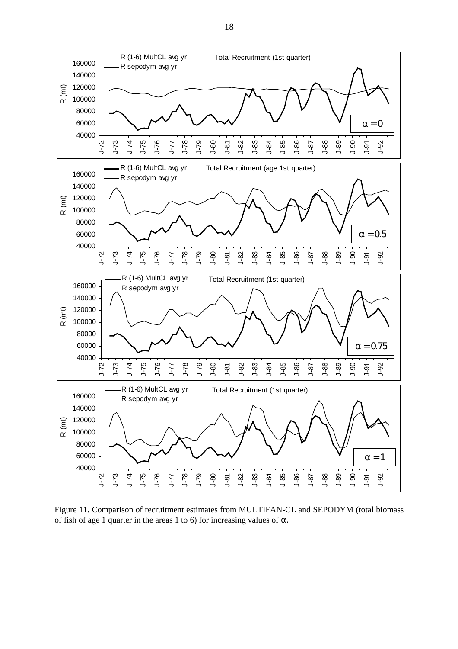

Figure 11. Comparison of recruitment estimates from MULTIFAN-CL and SEPODYM (total biomass of fish of age 1 quarter in the areas 1 to 6) for increasing values of  $\alpha$ .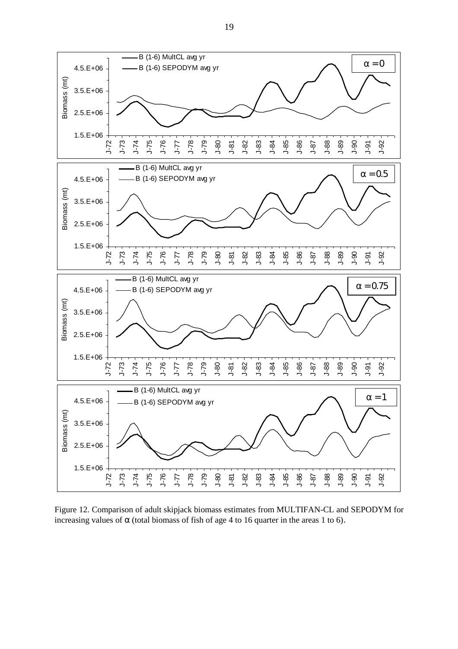

Figure 12. Comparison of adult skipjack biomass estimates from MULTIFAN-CL and SEPODYM for increasing values of  $\alpha$  (total biomass of fish of age 4 to 16 quarter in the areas 1 to 6).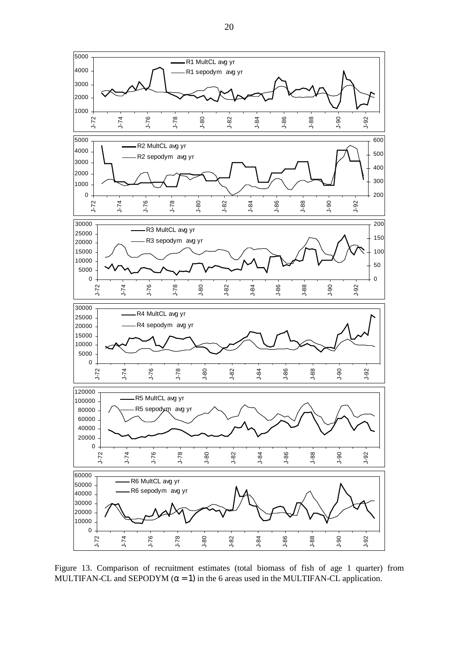

Figure 13. Comparison of recruitment estimates (total biomass of fish of age 1 quarter) from MULTIFAN-CL and SEPODYM  $(\alpha = 1)$  in the 6 areas used in the MULTIFAN-CL application.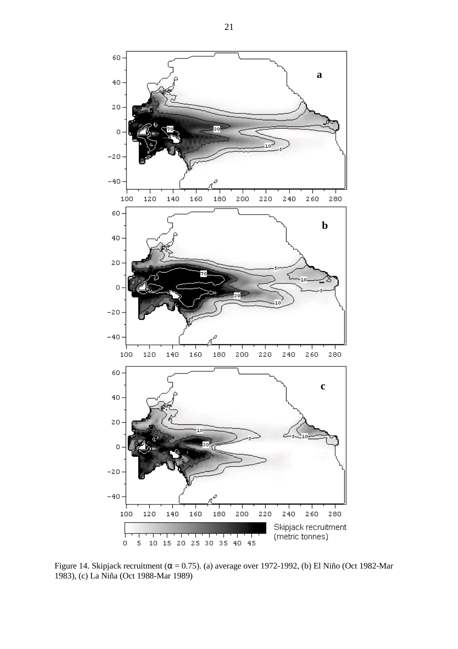

Figure 14. Skipjack recruitment ( $\alpha$  = 0.75). (a) average over 1972-1992, (b) El Niño (Oct 1982-Mar 1983), (c) La Niña (Oct 1988-Mar 1989)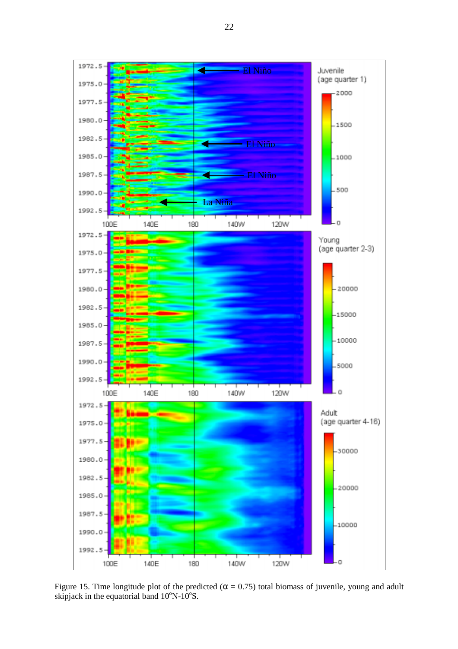1972.5 El Niño Juvenile z (age quarter 1) 1975.0  $-2000$ 1977.5 1980.0  $-1500$ 1982.5 El Niño 1985.0  $-1000$ 1987.5 El Niño .500 1990.0 La Niña1992.5 120W  $\overline{0}$ 100E 140E 180 140W 1972.5 Young (age quarter 2-3) 1975.0 1977.5  $-20000$ 1980.0 1982.5  $-15000$ 1985.0  $-10000$ 1987.5 1990.0  $-5000$ 1992.5 120W  $\ddot{\rm{o}}$ 140W 100E 140E 180  $1972.5 -$ Adult (age quarter 4-16) 1975.0 1977.5  $-30000$ 1980.0 1982.5  $-20000$  $1985.0$ 1987.5  $-10000$ 1990.0 1992.5 - 0 140E 180 140W 120W 100E

Figure 15. Time longitude plot of the predicted ( $\alpha = 0.75$ ) total biomass of juvenile, young and adult skipjack in the equatorial band  $10^{\circ}$ N- $10^{\circ}$ S.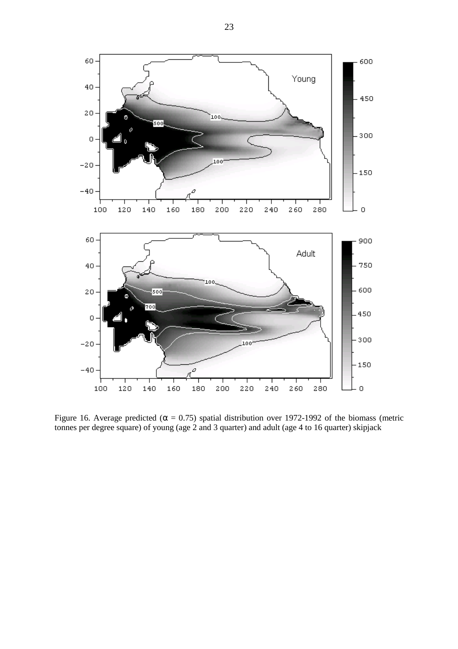

Figure 16. Average predicted ( $\alpha = 0.75$ ) spatial distribution over 1972-1992 of the biomass (metric tonnes per degree square) of young (age 2 and 3 quarter) and adult (age 4 to 16 quarter) skipjack